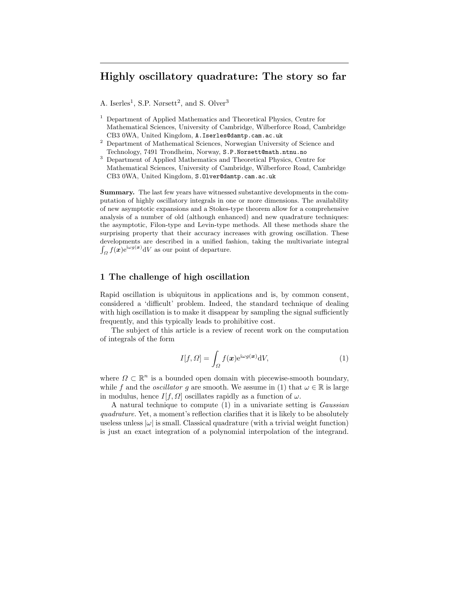# Highly oscillatory quadrature: The story so far

A. Iserles<sup>1</sup>, S.P. Nørsett<sup>2</sup>, and S. Olver<sup>3</sup>

- <sup>1</sup> Department of Applied Mathematics and Theoretical Physics, Centre for Mathematical Sciences, University of Cambridge, Wilberforce Road, Cambridge CB3 0WA, United Kingdom, A.Iserles@damtp.cam.ac.uk
- <sup>2</sup> Department of Mathematical Sciences, Norwegian University of Science and Technology, 7491 Trondheim, Norway, S.P.Norsett@math.ntnu.no
- <sup>3</sup> Department of Applied Mathematics and Theoretical Physics, Centre for Mathematical Sciences, University of Cambridge, Wilberforce Road, Cambridge CB3 0WA, United Kingdom, S.Olver@damtp.cam.ac.uk

Summary. The last few years have witnessed substantive developments in the computation of highly oscillatory integrals in one or more dimensions. The availability of new asymptotic expansions and a Stokes-type theorem allow for a comprehensive analysis of a number of old (although enhanced) and new quadrature techniques: the asymptotic, Filon-type and Levin-type methods. All these methods share the surprising property that their accuracy increases with growing oscillation. These developments are described in a unified fashion, taking the multivariate integral  $\int_{\Omega} f(\boldsymbol{x}) e^{i\omega g(\boldsymbol{x})} dV$  as our point of departure.

## 1 The challenge of high oscillation

Rapid oscillation is ubiquitous in applications and is, by common consent, considered a 'difficult' problem. Indeed, the standard technique of dealing with high oscillation is to make it disappear by sampling the signal sufficiently frequently, and this typically leads to prohibitive cost.

The subject of this article is a review of recent work on the computation of integrals of the form

$$
I[f,\Omega] = \int_{\Omega} f(\boldsymbol{x}) e^{i\omega g(\boldsymbol{x})} dV,
$$
\n(1)

where  $\Omega \subset \mathbb{R}^n$  is a bounded open domain with piecewise-smooth boundary, while f and the *oscillator* g are smooth. We assume in (1) that  $\omega \in \mathbb{R}$  is large in modulus, hence  $I[f, \Omega]$  oscillates rapidly as a function of  $\omega$ .

A natural technique to compute (1) in a univariate setting is Gaussian quadrature. Yet, a moment's reflection clarifies that it is likely to be absolutely useless unless  $|\omega|$  is small. Classical quadrature (with a trivial weight function) is just an exact integration of a polynomial interpolation of the integrand.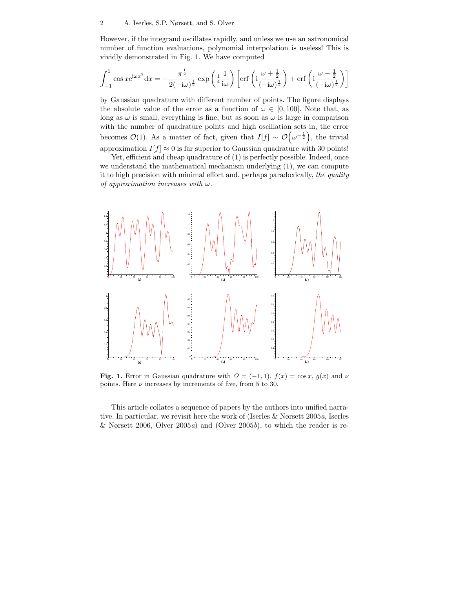However, if the integrand oscillates rapidly, and unless we use an astronomical number of function evaluations, polynomial interpolation is useless! This is vividly demonstrated in Fig. 1. We have computed

$$
\int_{-1}^{1} \cos x e^{i\omega x^2} dx = -\frac{\pi^{\frac{1}{2}}}{2(-i\omega)^{\frac{1}{2}}} \exp\left(\frac{1}{4} \frac{1}{i\omega}\right) \left[ \text{erf}\left(i\frac{\omega + \frac{1}{2}}{(-i\omega)^{\frac{1}{2}}} \right) + \text{erf}\left(i\frac{\omega - \frac{1}{2}}{(-i\omega)^{\frac{1}{2}}} \right) \right]
$$

by Gaussian quadrature with different number of points. The figure displays the absolute value of the error as a function of  $\omega \in [0, 100]$ . Note that, as long as  $\omega$  is small, everything is fine, but as soon as  $\omega$  is large in comparison with the number of quadrature points and high oscillation sets in, the error becomes  $\mathcal{O}(1)$ . As a matter of fact, given that  $I[f] \sim \mathcal{O}(\omega^{-\frac{1}{2}})$ , the trivial approximation  $I[f] \approx 0$  is far superior to Gaussian quadrature with 30 points!

Yet, efficient and cheap quadrature of  $(1)$  is perfectly possible. Indeed, once we understand the mathematical mechanism underlying (1), we can compute it to high precision with minimal effort and, perhaps paradoxically, the quality of approximation increases with  $\omega$ .



Fig. 1. Error in Gaussian quadrature with  $\Omega = (-1,1)$ ,  $f(x) = \cos x$ ,  $g(x)$  and  $\nu$ points. Here  $\nu$  increases by increments of five, from 5 to 30.

This article collates a sequence of papers by the authors into unified narrative. In particular, we revisit here the work of (Iserles & Nørsett 2005a, Iserles & Nørsett 2006, Olver 2005a) and (Olver 2005b), to which the reader is re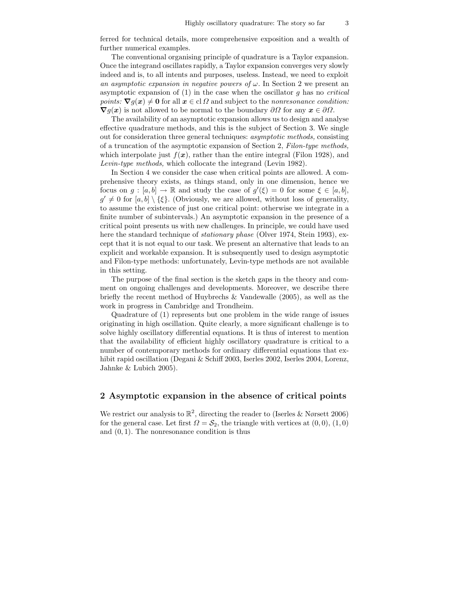ferred for technical details, more comprehensive exposition and a wealth of further numerical examples.

The conventional organising principle of quadrature is a Taylor expansion. Once the integrand oscillates rapidly, a Taylor expansion converges very slowly indeed and is, to all intents and purposes, useless. Instead, we need to exploit an asymptotic expansion in negative powers of  $\omega$ . In Section 2 we present an asymptotic expansion of  $(1)$  in the case when the oscillator q has no *critical* points:  $\nabla g(x) \neq 0$  for all  $x \in \text{cl } \Omega$  and subject to the nonresonance condition:  $\nabla g(x)$  is not allowed to be normal to the boundary  $\partial\Omega$  for any  $x \in \partial\Omega$ .

The availability of an asymptotic expansion allows us to design and analyse effective quadrature methods, and this is the subject of Section 3. We single out for consideration three general techniques: asymptotic methods, consisting of a truncation of the asymptotic expansion of Section 2, Filon-type methods, which interpolate just  $f(x)$ , rather than the entire integral (Filon 1928), and Levin-type methods, which collocate the integrand (Levin 1982).

In Section 4 we consider the case when critical points are allowed. A comprehensive theory exists, as things stand, only in one dimension, hence we focus on  $g : [a, b] \to \mathbb{R}$  and study the case of  $g'(\xi) = 0$  for some  $\xi \in [a, b]$ ,  $g' \neq 0$  for  $[a, b] \setminus {\xi}$ . (Obviously, we are allowed, without loss of generality, to assume the existence of just one critical point: otherwise we integrate in a finite number of subintervals.) An asymptotic expansion in the presence of a critical point presents us with new challenges. In principle, we could have used here the standard technique of *stationary phase* (Olver 1974, Stein 1993), except that it is not equal to our task. We present an alternative that leads to an explicit and workable expansion. It is subsequently used to design asymptotic and Filon-type methods: unfortunately, Levin-type methods are not available in this setting.

The purpose of the final section is the sketch gaps in the theory and comment on ongoing challenges and developments. Moreover, we describe there briefly the recent method of Huybrechs & Vandewalle (2005), as well as the work in progress in Cambridge and Trondheim.

Quadrature of (1) represents but one problem in the wide range of issues originating in high oscillation. Quite clearly, a more significant challenge is to solve highly oscillatory differential equations. It is thus of interest to mention that the availability of efficient highly oscillatory quadrature is critical to a number of contemporary methods for ordinary differential equations that exhibit rapid oscillation (Degani & Schiff 2003, Iserles 2002, Iserles 2004, Lorenz, Jahnke & Lubich 2005).

### 2 Asymptotic expansion in the absence of critical points

We restrict our analysis to  $\mathbb{R}^2$ , directing the reader to (Iserles & Nørsett 2006) for the general case. Let first  $\Omega = \mathcal{S}_2$ , the triangle with vertices at  $(0, 0)$ ,  $(1, 0)$ and  $(0, 1)$ . The nonresonance condition is thus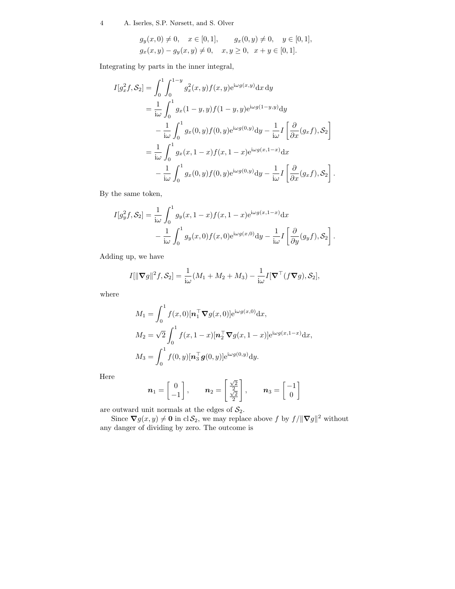$$
g_y(x, 0) \neq 0
$$
,  $x \in [0, 1]$ ,  $g_x(0, y) \neq 0$ ,  $y \in [0, 1]$ ,  
\n $g_x(x, y) - g_y(x, y) \neq 0$ ,  $x, y \geq 0$ ,  $x + y \in [0, 1]$ .

Integrating by parts in the inner integral,

$$
I[g_x^2 f, S_2] = \int_0^1 \int_0^{1-y} g_x^2(x, y) f(x, y) e^{i\omega g(x, y)} dx dy
$$
  
\n
$$
= \frac{1}{i\omega} \int_0^1 g_x(1 - y, y) f(1 - y, y) e^{i\omega g(1 - y, y)} dy
$$
  
\n
$$
- \frac{1}{i\omega} \int_0^1 g_x(0, y) f(0, y) e^{i\omega g(0, y)} dy - \frac{1}{i\omega} I \left[ \frac{\partial}{\partial x} (g_x f), S_2 \right]
$$
  
\n
$$
= \frac{1}{i\omega} \int_0^1 g_x(x, 1 - x) f(x, 1 - x) e^{i\omega g(x, 1 - x)} dx
$$
  
\n
$$
- \frac{1}{i\omega} \int_0^1 g_x(0, y) f(0, y) e^{i\omega g(0, y)} dy - \frac{1}{i\omega} I \left[ \frac{\partial}{\partial x} (g_x f), S_2 \right].
$$

By the same token,

$$
I[g_y^2 f, \mathcal{S}_2] = \frac{1}{i\omega} \int_0^1 g_y(x, 1-x) f(x, 1-x) e^{i\omega g(x, 1-x)} dx
$$
  

$$
- \frac{1}{i\omega} \int_0^1 g_y(x, 0) f(x, 0) e^{i\omega g(x, 0)} dy - \frac{1}{i\omega} I\left[\frac{\partial}{\partial y}(g_y f), \mathcal{S}_2\right].
$$

Adding up, we have

$$
I[\|\nabla g\|^2 f, \mathcal{S}_2] = \frac{1}{i\omega} (M_1 + M_2 + M_3) - \frac{1}{i\omega} I[\nabla^\top (f\nabla g), \mathcal{S}_2],
$$

where

$$
M_1 = \int_0^1 f(x,0)[\mathbf{n}_1^\top \nabla g(x,0)] e^{i\omega g(x,0)} dx,
$$
  
\n
$$
M_2 = \sqrt{2} \int_0^1 f(x,1-x)[\mathbf{n}_2^\top \nabla g(x,1-x)] e^{i\omega g(x,1-x)} dx,
$$
  
\n
$$
M_3 = \int_0^1 f(0,y)[\mathbf{n}_3^\top g(0,y)] e^{i\omega g(0,y)} dy.
$$

Here

$$
\boldsymbol{n}_1 = \begin{bmatrix} 0 \\ -1 \end{bmatrix}, \qquad \boldsymbol{n}_2 = \begin{bmatrix} \frac{\sqrt{2}}{2} \\ \frac{\sqrt{2}}{2} \end{bmatrix}, \qquad \boldsymbol{n}_3 = \begin{bmatrix} -1 \\ 0 \end{bmatrix}
$$

are outward unit normals at the edges of  $S_2$ .

Since  $\nabla g(x, y) \neq \mathbf{0}$  in cl  $\mathcal{S}_2$ , we may replace above f by  $f / ||\nabla g||^2$  without any danger of dividing by zero. The outcome is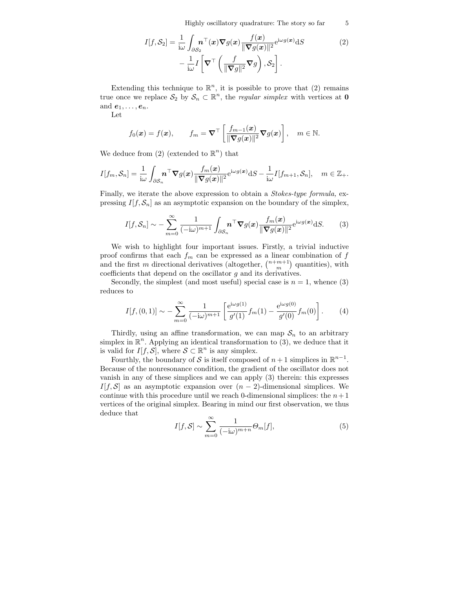Highly oscillatory quadrature: The story so far 5

$$
I[f, S_2] = \frac{1}{i\omega} \int_{\partial S_2} \mathbf{n}^\top(\mathbf{x}) \nabla g(\mathbf{x}) \frac{f(\mathbf{x})}{\|\nabla g(\mathbf{x})\|^2} e^{i\omega g(\mathbf{x})} dS
$$
  

$$
- \frac{1}{i\omega} I \left[ \nabla^\top \left( \frac{f}{\|\nabla g\|^2} \nabla g \right), S_2 \right].
$$
 (2)

Extending this technique to  $\mathbb{R}^n$ , it is possible to prove that (2) remains true once we replace  $S_2$  by  $S_n \subset \mathbb{R}^n$ , the *regular simplex* with vertices at **0** and  $e_1, \ldots, e_n$ .

Let

$$
f_0(\boldsymbol{x}) = f(\boldsymbol{x}),
$$
  $f_m = \boldsymbol{\nabla}^\top \left[ \frac{f_{m-1}(\boldsymbol{x})}{\|\boldsymbol{\nabla} g(\boldsymbol{x})\|^2} \boldsymbol{\nabla} g(\boldsymbol{x}) \right],$   $m \in \mathbb{N}.$ 

We deduce from  $(2)$  (extended to  $\mathbb{R}^n$ ) that

$$
I[f_m, \mathcal{S}_n] = \frac{1}{\mathrm{i}\omega} \int_{\partial \mathcal{S}_n} \boldsymbol{n}^\top \boldsymbol{\nabla} g(\boldsymbol{x}) \frac{f_m(\boldsymbol{x})}{\|\boldsymbol{\nabla} g(\boldsymbol{x})\|^2} e^{\mathrm{i}\omega g(\boldsymbol{x})} \mathrm{d}S - \frac{1}{\mathrm{i}\omega} I[f_{m+1}, \mathcal{S}_n], \quad m \in \mathbb{Z}_+.
$$

Finally, we iterate the above expression to obtain a Stokes-type formula, expressing  $I[f, \mathcal{S}_n]$  as an asymptotic expansion on the boundary of the simplex,

$$
I[f, \mathcal{S}_n] \sim -\sum_{m=0}^{\infty} \frac{1}{(-i\omega)^{m+1}} \int_{\partial \mathcal{S}_n} \boldsymbol{n}^\top \nabla g(\boldsymbol{x}) \frac{f_m(\boldsymbol{x})}{\|\nabla g(\boldsymbol{x})\|^2} e^{i\omega g(\boldsymbol{x})} dS. \tag{3}
$$

We wish to highlight four important issues. Firstly, a trivial inductive proof confirms that each  $f_m$  can be expressed as a linear combination of  $f$ and the first m directional derivatives (altogether,  $\binom{n+m+1}{m}$  quantities), with coefficients that depend on the oscillator  $g$  and its derivatives.

Secondly, the simplest (and most useful) special case is  $n = 1$ , whence (3) reduces to

$$
I[f,(0,1)] \sim -\sum_{m=0}^{\infty} \frac{1}{(-i\omega)^{m+1}} \left[ \frac{e^{i\omega g(1)}}{g'(1)} f_m(1) - \frac{e^{i\omega g(0)}}{g'(0)} f_m(0) \right].
$$
 (4)

Thirdly, using an affine transformation, we can map  $S_n$  to an arbitrary simplex in  $\mathbb{R}^n$ . Applying an identical transformation to (3), we deduce that it is valid for  $I[f, S]$ , where  $S \subset \mathbb{R}^n$  is any simplex.

Fourthly, the boundary of S is itself composed of  $n+1$  simplices in  $\mathbb{R}^{n-1}$ . Because of the nonresonance condition, the gradient of the oscillator does not vanish in any of these simplices and we can apply (3) therein: this expresses  $I[f, S]$  as an asymptotic expansion over  $(n-2)$ -dimensional simplices. We continue with this procedure until we reach 0-dimensional simplices: the  $n+1$ vertices of the original simplex. Bearing in mind our first observation, we thus deduce that

$$
I[f, S] \sim \sum_{m=0}^{\infty} \frac{1}{(-\mathrm{i}\omega)^{m+n}} \Theta_m[f],\tag{5}
$$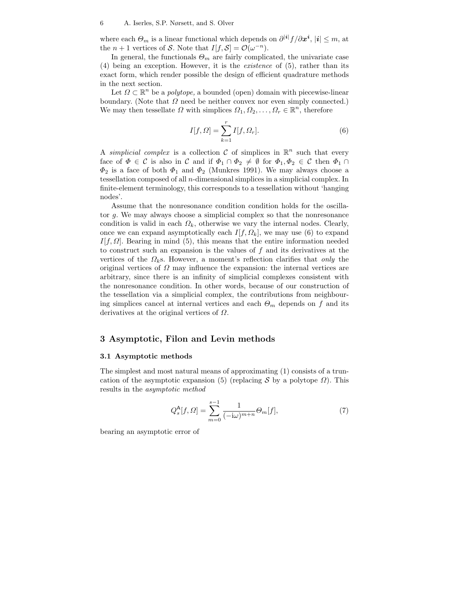where each  $\Theta_m$  is a linear functional which depends on  $\partial^{|\mathbf{i}|} f/\partial x^{\mathbf{i}}, |\mathbf{i}| \leq m$ , at the  $n+1$  vertices of S. Note that  $I[f, S] = \mathcal{O}(\omega^{-n}).$ 

In general, the functionals  $\Theta_m$  are fairly complicated, the univariate case (4) being an exception. However, it is the existence of (5), rather than its exact form, which render possible the design of efficient quadrature methods in the next section.

Let  $\Omega \subset \mathbb{R}^n$  be a *polytope*, a bounded (open) domain with piecewise-linear boundary. (Note that  $\Omega$  need be neither convex nor even simply connected.) We may then tessellate  $\Omega$  with simplices  $\Omega_1, \Omega_2, \ldots, \Omega_r \in \mathbb{R}^n$ , therefore

$$
I[f,\Omega] = \sum_{k=1}^{r} I[f,\Omega_r].
$$
\n(6)

A simplicial complex is a collection C of simplices in  $\mathbb{R}^n$  such that every face of  $\Phi \in \mathcal{C}$  is also in  $\mathcal{C}$  and if  $\Phi_1 \cap \Phi_2 \neq \emptyset$  for  $\Phi_1, \Phi_2 \in \mathcal{C}$  then  $\Phi_1 \cap$  $\Phi_2$  is a face of both  $\Phi_1$  and  $\Phi_2$  (Munkres 1991). We may always choose a tessellation composed of all n-dimensional simplices in a simplicial complex. In finite-element terminology, this corresponds to a tessellation without 'hanging nodes'.

Assume that the nonresonance condition condition holds for the oscillator g. We may always choose a simplicial complex so that the nonresonance condition is valid in each  $\Omega_k$ , otherwise we vary the internal nodes. Clearly, once we can expand asymptotically each  $I[f, \Omega_k]$ , we may use (6) to expand I[f,  $\Omega$ ]. Bearing in mind (5), this means that the entire information needed to construct such an expansion is the values of f and its derivatives at the vertices of the  $\Omega_k$ s. However, a moment's reflection clarifies that only the original vertices of  $\Omega$  may influence the expansion: the internal vertices are arbitrary, since there is an infinity of simplicial complexes consistent with the nonresonance condition. In other words, because of our construction of the tessellation via a simplicial complex, the contributions from neighbouring simplices cancel at internal vertices and each  $\Theta_m$  depends on f and its derivatives at the original vertices of  $\Omega$ .

### 3 Asymptotic, Filon and Levin methods

#### 3.1 Asymptotic methods

The simplest and most natural means of approximating (1) consists of a truncation of the asymptotic expansion (5) (replacing S by a polytope  $\Omega$ ). This results in the asymptotic method

$$
Q_s^{\mathsf{A}}[f,\Omega] = \sum_{m=0}^{s-1} \frac{1}{(-\mathrm{i}\omega)^{m+n}} \Theta_m[f],\tag{7}
$$

bearing an asymptotic error of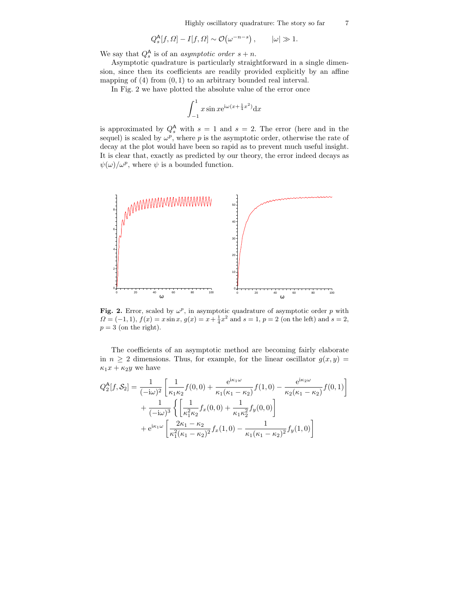$$
Q_s^{\mathsf{A}}[f,\Omega] - I[f,\Omega] \sim \mathcal{O}(\omega^{-n-s}), \qquad |\omega| \gg 1.
$$

We say that  $Q_s^{\mathsf{A}}$  is of an *asymptotic order*  $s + n$ .

Asymptotic quadrature is particularly straightforward in a single dimension, since then its coefficients are readily provided explicitly by an affine mapping of  $(4)$  from  $(0, 1)$  to an arbitrary bounded real interval.

In Fig. 2 we have plotted the absolute value of the error once

$$
\int_{-1}^{1} x \sin x e^{i\omega(x + \frac{1}{4}x^2)} dx
$$

is approximated by  $Q_s^{\mathsf{A}}$  with  $s = 1$  and  $s = 2$ . The error (here and in the sequel) is scaled by  $\omega^p$ , where p is the asymptotic order, otherwise the rate of decay at the plot would have been so rapid as to prevent much useful insight. It is clear that, exactly as predicted by our theory, the error indeed decays as  $\psi(\omega)/\omega^p$ , where  $\psi$  is a bounded function.



Fig. 2. Error, scaled by  $\omega^p$ , in asymptotic quadrature of asymptotic order p with  $\Omega = (-1, 1), f(x) = x \sin x, g(x) = x + \frac{1}{4}x^2$  and  $s = 1, p = 2$  (on the left) and  $s = 2$ ,  $p = 3$  (on the right).

The coefficients of an asymptotic method are becoming fairly elaborate in  $n \geq 2$  dimensions. Thus, for example, for the linear oscillator  $g(x, y) =$  $\kappa_1 x + \kappa_2 y$  we have

$$
Q_2^{\mathsf{A}}[f, \mathcal{S}_2] = \frac{1}{(-i\omega)^2} \left[ \frac{1}{\kappa_1 \kappa_2} f(0, 0) + \frac{e^{i\kappa_1 \omega}}{\kappa_1 (\kappa_1 - \kappa_2)} f(1, 0) - \frac{e^{i\kappa_2 \omega}}{\kappa_2 (\kappa_1 - \kappa_2)} f(0, 1) \right] + \frac{1}{(-i\omega)^3} \left\{ \left[ \frac{1}{\kappa_1^2 \kappa_2} f_x(0, 0) + \frac{1}{\kappa_1 \kappa_2^2} f_y(0, 0) \right] + e^{i\kappa_1 \omega} \left[ \frac{2\kappa_1 - \kappa_2}{\kappa_1^2 (\kappa_1 - \kappa_2)^2} f_x(1, 0) - \frac{1}{\kappa_1 (\kappa_1 - \kappa_2)^2} f_y(1, 0) \right]
$$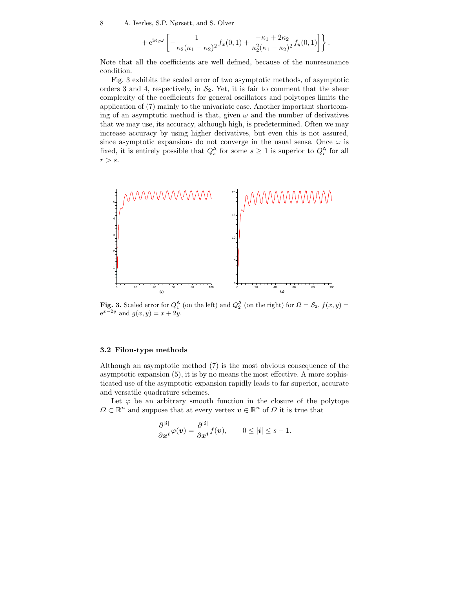$$
+ e^{i\kappa_2 \omega} \left[ -\frac{1}{\kappa_2(\kappa_1 - \kappa_2)^2} f_x(0,1) + \frac{-\kappa_1 + 2\kappa_2}{\kappa_2^2(\kappa_1 - \kappa_2)^2} f_y(0,1) \right] \bigg\} .
$$

Note that all the coefficients are well defined, because of the nonresonance condition.

Fig. 3 exhibits the scaled error of two asymptotic methods, of asymptotic orders 3 and 4, respectively, in  $S_2$ . Yet, it is fair to comment that the sheer complexity of the coefficients for general oscillators and polytopes limits the application of (7) mainly to the univariate case. Another important shortcoming of an asymptotic method is that, given  $\omega$  and the number of derivatives that we may use, its accuracy, although high, is predetermined. Often we may increase accuracy by using higher derivatives, but even this is not assured, since asymptotic expansions do not converge in the usual sense. Once  $\omega$  is fixed, it is entirely possible that  $Q_s^{\mathsf{A}}$  for some  $s \geq 1$  is superior to  $Q_r^{\mathsf{A}}$  for all  $r > s$ .



Fig. 3. Scaled error for  $Q_1^{\mathsf{A}}$  (on the left) and  $Q_2^{\mathsf{A}}$  (on the right) for  $\Omega = \mathcal{S}_2$ ,  $f(x, y) =$  $e^{x-2y}$  and  $g(x,y)=x+2y$ .

### 3.2 Filon-type methods

Although an asymptotic method (7) is the most obvious consequence of the asymptotic expansion (5), it is by no means the most effective. A more sophisticated use of the asymptotic expansion rapidly leads to far superior, accurate and versatile quadrature schemes.

Let  $\varphi$  be an arbitrary smooth function in the closure of the polytope  $\Omega \subset \mathbb{R}^n$  and suppose that at every vertex  $v \in \mathbb{R}^n$  of  $\Omega$  it is true that

$$
\frac{\partial^{|i|}}{\partial x^i}\varphi(v) = \frac{\partial^{|i|}}{\partial x^i}f(v), \qquad 0 \leq |i| \leq s - 1.
$$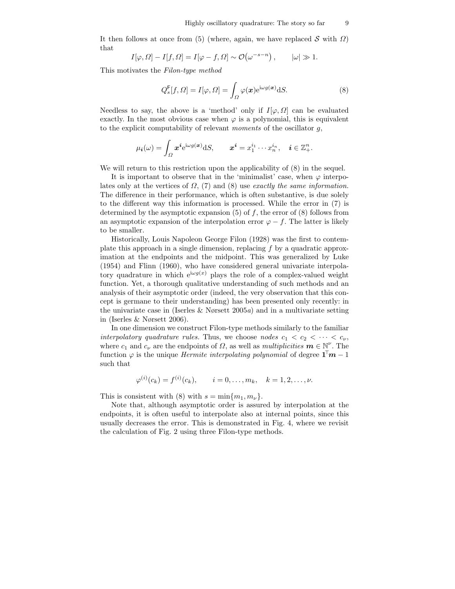It then follows at once from (5) (where, again, we have replaced  $S$  with  $\Omega$ ) that

$$
I[\varphi,\Omega]-I[f,\Omega]=I[\varphi-f,\Omega]\sim\mathcal{O}\big(\omega^{-s-n}\big)\,,\qquad |\omega|\gg1.
$$

This motivates the Filon-type method

$$
Q_s^{\mathsf{F}}[f,\Omega] = I[\varphi,\Omega] = \int_{\Omega} \varphi(\mathbf{x})e^{i\omega g(\mathbf{x})} dS.
$$
 (8)

Needless to say, the above is a 'method' only if  $I[\varphi, \Omega]$  can be evaluated exactly. In the most obvious case when  $\varphi$  is a polynomial, this is equivalent to the explicit computability of relevant moments of the oscillator g,

$$
\mu_{\boldsymbol{i}}(\omega) = \int_{\Omega} \boldsymbol{x}^{\boldsymbol{i}} e^{i\omega g(\boldsymbol{x})} dS, \qquad \boldsymbol{x}^{\boldsymbol{i}} = x_1^{i_1} \cdots x_n^{i_n}, \quad \boldsymbol{i} \in \mathbb{Z}_+^n.
$$

We will return to this restriction upon the applicability of (8) in the sequel.

It is important to observe that in the 'minimalist' case, when  $\varphi$  interpolates only at the vertices of  $\Omega$ , (7) and (8) use exactly the same information. The difference in their performance, which is often substantive, is due solely to the different way this information is processed. While the error in (7) is determined by the asymptotic expansion  $(5)$  of f, the error of  $(8)$  follows from an asymptotic expansion of the interpolation error  $\varphi - f$ . The latter is likely to be smaller.

Historically, Louis Napoleon George Filon (1928) was the first to contemplate this approach in a single dimension, replacing  $f$  by a quadratic approximation at the endpoints and the midpoint. This was generalized by Luke (1954) and Flinn (1960), who have considered general univariate interpolatory quadrature in which  $e^{i\omega g(x)}$  plays the role of a complex-valued weight function. Yet, a thorough qualitative understanding of such methods and an analysis of their asymptotic order (indeed, the very observation that this concept is germane to their understanding) has been presented only recently: in the univariate case in (Iserles  $& N\varphi$ rsett 2005a) and in a multivariate setting in (Iserles & Nørsett 2006).

In one dimension we construct Filon-type methods similarly to the familiar interpolatory quadrature rules. Thus, we choose nodes  $c_1 < c_2 < \cdots < c_{\nu}$ , where  $c_1$  and  $c_\nu$  are the endpoints of  $\Omega$ , as well as *multiplicities*  $\mathbf{m} \in \mathbb{N}^{\nu}$ . The function  $\varphi$  is the unique *Hermite interpolating polynomial* of degree  $1^{\dagger}m - 1$ such that

$$
\varphi^{(i)}(c_k) = f^{(i)}(c_k), \qquad i = 0, \ldots, m_k, \quad k = 1, 2, \ldots, \nu.
$$

This is consistent with (8) with  $s = \min\{m_1, m_\nu\}.$ 

Note that, although asymptotic order is assured by interpolation at the endpoints, it is often useful to interpolate also at internal points, since this usually decreases the error. This is demonstrated in Fig. 4, where we revisit the calculation of Fig. 2 using three Filon-type methods.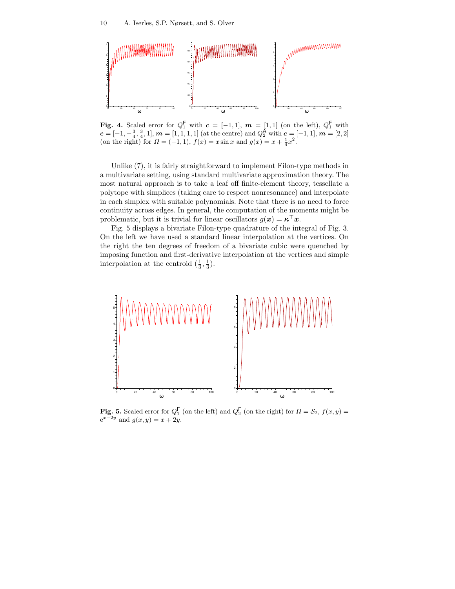

**Fig. 4.** Scaled error for  $Q_1^{\mathsf{F}}$  with  $c = [-1,1]$ ,  $m = [1,1]$  (on the left),  $Q_1^{\mathsf{F}}$  with  $c = [-1, -\frac{3}{4}, \frac{3}{4}, 1], m = [1, 1, 1, 1]$  (at the centre) and  $Q_2^A$  with  $c = [-1, 1], m = [2, 2]$ (on the right) for  $\Omega = (-1, 1)$ ,  $f(x) = x \sin x$  and  $g(x) = x + \frac{1}{4}x^2$ .

Unlike (7), it is fairly straightforward to implement Filon-type methods in a multivariate setting, using standard multivariate approximation theory. The most natural approach is to take a leaf off finite-element theory, tessellate a polytope with simplices (taking care to respect nonresonance) and interpolate in each simplex with suitable polynomials. Note that there is no need to force continuity across edges. In general, the computation of the moments might be problematic, but it is trivial for linear oscillators  $g(x) = \kappa^\perp x$ .

Fig. 5 displays a bivariate Filon-type quadrature of the integral of Fig. 3. On the left we have used a standard linear interpolation at the vertices. On the right the ten degrees of freedom of a bivariate cubic were quenched by imposing function and first-derivative interpolation at the vertices and simple interpolation at the centroid  $(\frac{1}{3}, \frac{1}{3})$ .



Fig. 5. Scaled error for  $Q_1^{\mathsf{F}}$  (on the left) and  $Q_2^{\mathsf{F}}$  (on the right) for  $\Omega = \mathcal{S}_2$ ,  $f(x, y) =$  $e^{x-2y}$  and  $g(x, y) = x + 2y$ .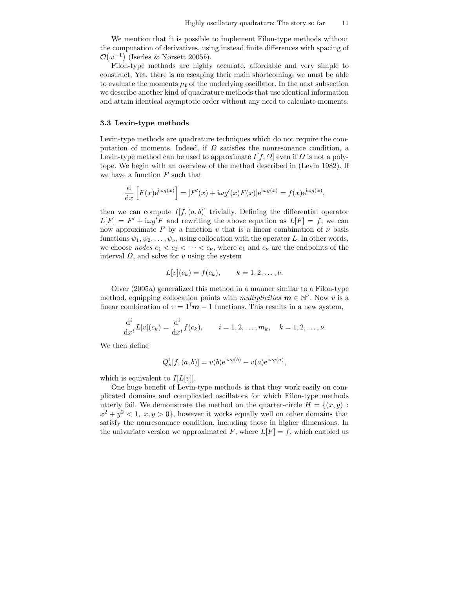We mention that it is possible to implement Filon-type methods without the computation of derivatives, using instead finite differences with spacing of  $\mathcal{O}(\omega^{-1})$  (Iserles & Nørsett 2005b).

Filon-type methods are highly accurate, affordable and very simple to construct. Yet, there is no escaping their main shortcoming: we must be able to evaluate the moments  $\mu_i$  of the underlying oscillator. In the next subsection we describe another kind of quadrature methods that use identical information and attain identical asymptotic order without any need to calculate moments.

#### 3.3 Levin-type methods

Levin-type methods are quadrature techniques which do not require the computation of moments. Indeed, if  $\Omega$  satisfies the nonresonance condition, a Levin-type method can be used to approximate  $I[f, \Omega]$  even if  $\Omega$  is not a polytope. We begin with an overview of the method described in (Levin 1982). If we have a function  $F$  such that

$$
\frac{\mathrm{d}}{\mathrm{d}x} \left[ F(x) e^{i\omega g(x)} \right] = \left[ F'(x) + i\omega g'(x) F(x) \right] e^{i\omega g(x)} = f(x) e^{i\omega g(x)},
$$

then we can compute  $I[f,(a,b)]$  trivially. Defining the differential operator  $L[F] = F' + i\omega g'F$  and rewriting the above equation as  $L[F] = f$ , we can now approximate F by a function v that is a linear combination of  $\nu$  basis functions  $\psi_1, \psi_2, \ldots, \psi_{\nu}$ , using collocation with the operator L. In other words, we choose nodes  $c_1 < c_2 < \cdots < c_{\nu}$ , where  $c_1$  and  $c_{\nu}$  are the endpoints of the interval  $\Omega$ , and solve for v using the system

$$
L[v](c_k) = f(c_k), \qquad k = 1, 2, \ldots, \nu.
$$

Olver  $(2005a)$  generalized this method in a manner similar to a Filon-type method, equipping collocation points with *multiplicities*  $\mathbf{m} \in \mathbb{N}^{\nu}$ . Now v is a linear combination of  $\tau = \mathbf{1}^{\dagger} \mathbf{m} - 1$  functions. This results in a new system,

$$
\frac{d^{i}}{dx^{i}}L[v](c_{k}) = \frac{d^{i}}{dx^{i}}f(c_{k}), \qquad i = 1, 2, ..., m_{k}, \quad k = 1, 2, ..., \nu.
$$

We then define

$$
Q_s^{\mathsf{L}}[f,(a,b)] = v(b)e^{i\omega g(b)} - v(a)e^{i\omega g(a)},
$$

which is equivalent to  $I[L[v]]$ .

One huge benefit of Levin-type methods is that they work easily on complicated domains and complicated oscillators for which Filon-type methods utterly fail. We demonstrate the method on the quarter-circle  $H = \{(x, y) :$  $x^2 + y^2 < 1$ ,  $x, y > 0$ , however it works equally well on other domains that satisfy the nonresonance condition, including those in higher dimensions. In the univariate version we approximated F, where  $L[F] = f$ , which enabled us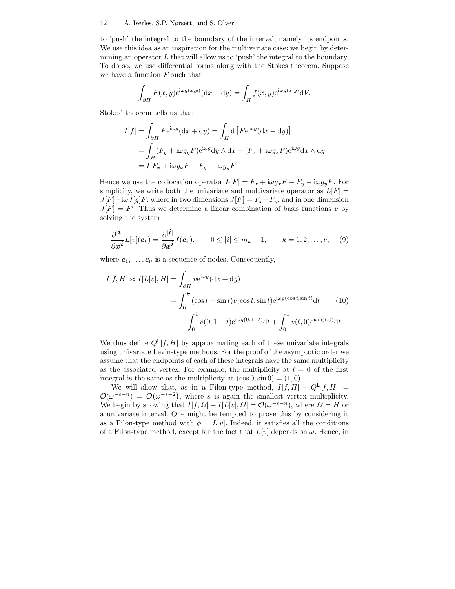to 'push' the integral to the boundary of the interval, namely its endpoints. We use this idea as an inspiration for the multivariate case: we begin by determining an operator  $L$  that will allow us to 'push' the integral to the boundary. To do so, we use differential forms along with the Stokes theorem. Suppose we have a function  $F$  such that

$$
\int_{\partial H} F(x, y) e^{i\omega g(x, y)} (\mathrm{d}x + \mathrm{d}y) = \int_{H} f(x, y) e^{i\omega g(x, y)} \mathrm{d}V.
$$

Stokes' theorem tells us that

$$
I[f] = \int_{\partial H} F e^{i\omega g} (dx + dy) = \int_H d \left[ F e^{i\omega g} (dx + dy) \right]
$$
  
= 
$$
\int_H (F_y + i\omega g_y F) e^{i\omega g} dy \wedge dx + (F_x + i\omega g_x F) e^{i\omega g} dx \wedge dy
$$
  
= 
$$
I[F_x + i\omega g_x F - F_y - i\omega g_y F]
$$

Hence we use the collocation operator  $L[F] = F_x + i\omega g_x F - F_y - i\omega g_y F$ . For simplicity, we write both the univariate and multivariate operator as  $L[F] =$  $J[F]+i\omega J[g]F$ , where in two dimensions  $J[F] = F_x-F_y$ , and in one dimension  $J[F] = F'$ . Thus we determine a linear combination of basis functions v by solving the system

$$
\frac{\partial^{|\boldsymbol{i}|}}{\partial \boldsymbol{x}^{\boldsymbol{i}}}L[v](\boldsymbol{c}_k) = \frac{\partial^{|\boldsymbol{i}|}}{\partial \boldsymbol{x}^{\boldsymbol{i}}}f(\boldsymbol{c}_k), \qquad 0 \leq |\boldsymbol{i}| \leq m_k - 1, \qquad k = 1, 2, \ldots, \nu,
$$
 (9)

where  $c_1, \ldots, c_{\nu}$  is a sequence of nodes. Consequently,

$$
I[f, H] \approx I[L[v], H] = \int_{\partial H} v e^{i\omega g} (dx + dy)
$$
  
= 
$$
\int_0^{\frac{\pi}{2}} (\cos t - \sin t) v (\cos t, \sin t) e^{i\omega g (\cos t, \sin t)} dt
$$
(10)  

$$
- \int_0^1 v(0, 1 - t) e^{i\omega g(0, 1 - t)} dt + \int_0^1 v(t, 0) e^{i\omega g(t, 0)} dt.
$$

We thus define  $Q^{\mathsf{L}}[f,H]$  by approximating each of these univariate integrals using univariate Levin-type methods. For the proof of the asymptotic order we assume that the endpoints of each of these integrals have the same multiplicity as the associated vertex. For example, the multiplicity at  $t = 0$  of the first integral is the same as the multiplicity at  $(\cos 0, \sin 0) = (1, 0)$ .

We will show that, as in a Filon-type method,  $I[f,H] - Q^L[f,H] =$  $\mathcal{O}(\omega^{-s-n}) = \mathcal{O}(\omega^{-s-2}),$  where s is again the smallest vertex multiplicity. We begin by showing that  $I[f, \Omega] - I[L[v], \Omega] = \mathcal{O}(\omega^{-s-n})$ , where  $\Omega = H$  or a univariate interval. One might be tempted to prove this by considering it as a Filon-type method with  $\phi = L[v]$ . Indeed, it satisfies all the conditions of a Filon-type method, except for the fact that  $L[v]$  depends on  $\omega$ . Hence, in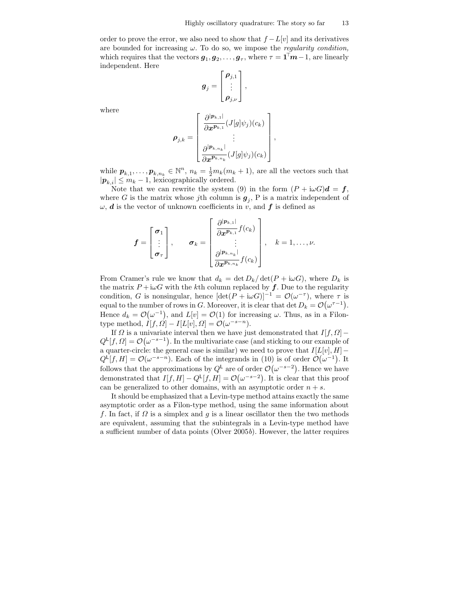order to prove the error, we also need to show that  $f - L[v]$  and its derivatives are bounded for increasing  $\omega$ . To do so, we impose the *regularity condition*, which requires that the vectors  $g_1, g_2, \ldots, g_{\tau}$ , where  $\tau = \mathbf{1}^{\dagger} m - 1$ , are linearly independent. Here

$$
\boldsymbol{g}_j = \begin{bmatrix} \boldsymbol{\rho}_{j,1} \\ \vdots \\ \boldsymbol{\rho}_{j,\nu} \end{bmatrix},
$$

where

$$
\boldsymbol{\rho}_{j,k} = \begin{bmatrix} \frac{\partial^{|\boldsymbol{p}_{k,1}|}}{\partial \boldsymbol{x}^{\boldsymbol{p}_{k,1}}}(J[g]\psi_j)(c_k) \\ \vdots \\ \frac{\partial^{|\boldsymbol{p}_{k,n_k}|}}{\partial \boldsymbol{x}^{\boldsymbol{p}_{k,n_k}}}(J[g]\psi_j)(c_k) \end{bmatrix},
$$

while  $\mathbf{p}_{k,1}, \ldots, \mathbf{p}_{k,n_k} \in \mathbb{N}^n$ ,  $n_k = \frac{1}{2} m_k(m_k + 1)$ , are all the vectors such that  $|\mathbf{p}_{k,i}| \leq m_k - 1$ , lexicographically ordered.

Note that we can rewrite the system (9) in the form  $(P + i\omega G)d = f$ , where G is the matrix whose jth column is  $g_j$ , P is a matrix independent of  $\omega$ , **d** is the vector of unknown coefficients in v, and **f** is defined as

$$
\boldsymbol{f} = \begin{bmatrix} \boldsymbol{\sigma}_1 \\ \vdots \\ \boldsymbol{\sigma}_{\tau} \end{bmatrix}, \qquad \boldsymbol{\sigma}_k = \begin{bmatrix} \frac{\partial^{|\boldsymbol{p}_{k,1}|}}{\partial \boldsymbol{x}^{\boldsymbol{p}_{k,1}}} f(c_k) \\ \vdots \\ \frac{\partial^{|\boldsymbol{p}_{k,n_k}|}}{\partial \boldsymbol{x}^{\boldsymbol{p}_{k,n_k}}} f(c_k) \end{bmatrix}, \quad k = 1,\ldots,\nu.
$$

From Cramer's rule we know that  $d_k = \det D_k / \det (P + i\omega G)$ , where  $D_k$  is the matrix  $P + i\omega G$  with the kth column replaced by f. Due to the regularity condition, G is nonsingular, hence  $[\det(P + i\omega G)]^{-1} = \mathcal{O}(\omega^{-\tau})$ , where  $\tau$  is equal to the number of rows in G. Moreover, it is clear that det  $D_k = \mathcal{O}(\omega^{\tau-1})$ . Hence  $d_k = \mathcal{O}(\omega^{-1})$ , and  $L[v] = \mathcal{O}(1)$  for increasing  $\omega$ . Thus, as in a Filontype method,  $I[f, \Omega] - I[L[v], \Omega] = \mathcal{O}(\omega^{-s-n}).$ 

If  $\Omega$  is a univariate interval then we have just demonstrated that  $I[f,\Omega]$  –  $Q^{\mathsf{L}}[f,\Omega] = \mathcal{O}(\omega^{-s-1})$ . In the multivariate case (and sticking to our example of a quarter-circle: the general case is similar) we need to prove that  $I[L[v], H]$  –  $Q^{\mathsf{L}}[f,H] = \mathcal{O}(\omega^{-s-n})$ . Each of the integrands in (10) is of order  $\mathcal{O}(\omega^{-1})$ . It follows that the approximations by  $Q^{\mathsf{L}}$  are of order  $\mathcal{O}(\omega^{-s-2})$ . Hence we have demonstrated that  $I[f, H] - Q^{\mathsf{L}}[f, H] = \mathcal{O}(\omega^{-s-2})$ . It is clear that this proof can be generalized to other domains, with an asymptotic order  $n + s$ .

It should be emphasized that a Levin-type method attains exactly the same asymptotic order as a Filon-type method, using the same information about f. In fact, if  $\Omega$  is a simplex and g is a linear oscillator then the two methods are equivalent, assuming that the subintegrals in a Levin-type method have a sufficient number of data points (Olver 2005b). However, the latter requires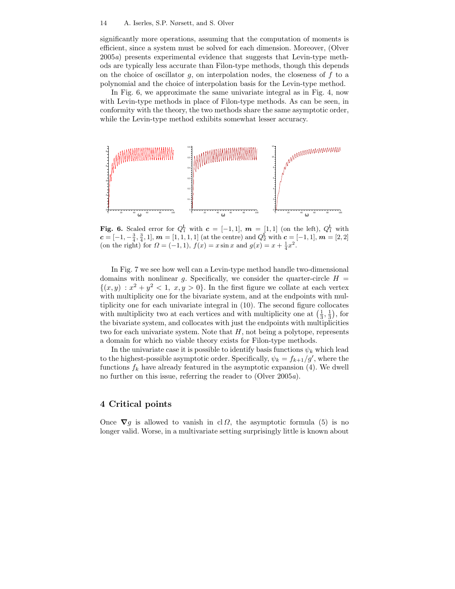significantly more operations, assuming that the computation of moments is efficient, since a system must be solved for each dimension. Moreover, (Olver 2005a) presents experimental evidence that suggests that Levin-type methods are typically less accurate than Filon-type methods, though this depends on the choice of oscillator  $g$ , on interpolation nodes, the closeness of  $f$  to a polynomial and the choice of interpolation basis for the Levin-type method.

In Fig. 6, we approximate the same univariate integral as in Fig. 4, now with Levin-type methods in place of Filon-type methods. As can be seen, in conformity with the theory, the two methods share the same asymptotic order, while the Levin-type method exhibits somewhat lesser accuracy.



Fig. 6. Scaled error for  $Q_1^{\mathsf{L}}$  with  $\mathbf{c} = [-1,1], \mathbf{m} = [1,1]$  (on the left),  $Q_1^{\mathsf{L}}$  with  $c = [-1, -\frac{3}{4}, \frac{3}{4}, 1], m = [1, 1, 1, 1]$  (at the centre) and  $Q_2^L$  with  $c = [-1, 1], m = [2, 2]$ (on the right) for  $\Omega = (-1, 1)$ ,  $f(x) = x \sin x$  and  $g(x) = x + \frac{1}{4}x^2$ .

In Fig. 7 we see how well can a Levin-type method handle two-dimensional domains with nonlinear g. Specifically, we consider the quarter-circle  $H =$  $\{(x,y): x^2 + y^2 < 1, x, y > 0\}$ . In the first figure we collate at each vertex with multiplicity one for the bivariate system, and at the endpoints with multiplicity one for each univariate integral in (10). The second figure collocates with multiplicity two at each vertices and with multiplicity one at  $(\frac{1}{3}, \frac{1}{3})$ , for the bivariate system, and collocates with just the endpoints with multiplicities two for each univariate system. Note that  $H$ , not being a polytope, represents a domain for which no viable theory exists for Filon-type methods.

In the univariate case it is possible to identify basis functions  $\psi_k$  which lead to the highest-possible asymptotic order. Specifically,  $\psi_k = f_{k+1}/g'$ , where the functions  $f_k$  have already featured in the asymptotic expansion (4). We dwell no further on this issue, referring the reader to (Olver 2005a).

# 4 Critical points

Once  $\nabla g$  is allowed to vanish in cl  $\Omega$ , the asymptotic formula (5) is no longer valid. Worse, in a multivariate setting surprisingly little is known about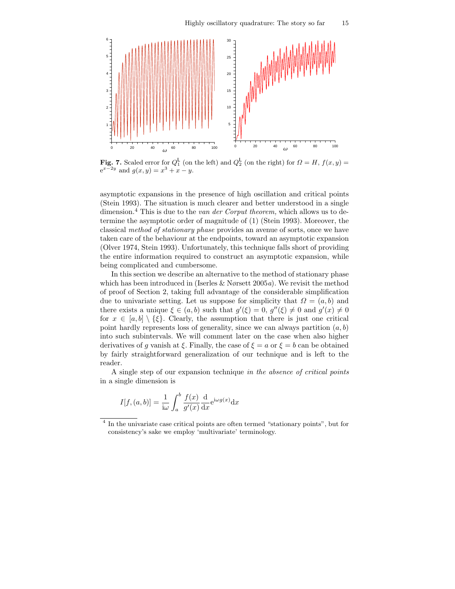

Fig. 7. Scaled error for  $Q_1^{\mathsf{L}}$  (on the left) and  $Q_2^{\mathsf{L}}$  (on the right) for  $\Omega = H$ ,  $f(x, y) =$  $e^{x-2y}$  and  $g(x, y) = x^3 + x - y$ .

asymptotic expansions in the presence of high oscillation and critical points (Stein 1993). The situation is much clearer and better understood in a single dimension.<sup>4</sup> This is due to the *van der Corput theorem*, which allows us to determine the asymptotic order of magnitude of (1) (Stein 1993). Moreover, the classical method of stationary phase provides an avenue of sorts, once we have taken care of the behaviour at the endpoints, toward an asymptotic expansion (Olver 1974, Stein 1993). Unfortunately, this technique falls short of providing the entire information required to construct an asymptotic expansion, while being complicated and cumbersome.

In this section we describe an alternative to the method of stationary phase which has been introduced in (Iserles  $& N\text{grsett}$  2005a). We revisit the method of proof of Section 2, taking full advantage of the considerable simplification due to univariate setting. Let us suppose for simplicity that  $\Omega = (a, b)$  and there exists a unique  $\xi \in (a, b)$  such that  $g'(\xi) = 0$ ,  $g''(\xi) \neq 0$  and  $g'(x) \neq 0$ for  $x \in [a, b] \setminus {\xi}$ . Clearly, the assumption that there is just one critical point hardly represents loss of generality, since we can always partition  $(a, b)$ into such subintervals. We will comment later on the case when also higher derivatives of g vanish at  $\xi$ . Finally, the case of  $\xi = a$  or  $\xi = b$  can be obtained by fairly straightforward generalization of our technique and is left to the reader.

A single step of our expansion technique in the absence of critical points in a single dimension is

$$
I[f,(a,b)] = \frac{1}{i\omega} \int_a^b \frac{f(x)}{g'(x)} \frac{d}{dx} e^{i\omega g(x)} dx
$$

<sup>4</sup> In the univariate case critical points are often termed "stationary points", but for consistency's sake we employ 'multivariate' terminology.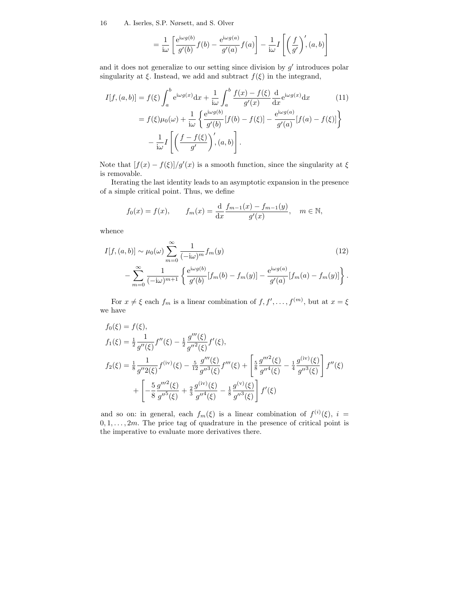$$
= \frac{1}{i\omega} \left[ \frac{e^{i\omega g(b)}}{g'(b)} f(b) - \frac{e^{i\omega g(a)}}{g'(a)} f(a) \right] - \frac{1}{i\omega} I \left[ \left( \frac{f}{g'} \right)',(a, b) \right]
$$

and it does not generalize to our setting since division by  $g'$  introduces polar singularity at  $\xi$ . Instead, we add and subtract  $f(\xi)$  in the integrand,

$$
I[f, (a, b)] = f(\xi) \int_a^b e^{i\omega g(x)} dx + \frac{1}{i\omega} \int_a^b \frac{f(x) - f(\xi)}{g'(x)} \frac{d}{dx} e^{i\omega g(x)} dx
$$
(11)  

$$
= f(\xi) \mu_0(\omega) + \frac{1}{i\omega} \left\{ \frac{e^{i\omega g(b)}}{g'(b)} [f(b) - f(\xi)] - \frac{e^{i\omega g(a)}}{g'(a)} [f(a) - f(\xi)] \right\}
$$
  

$$
- \frac{1}{i\omega} I \left[ \left( \frac{f - f(\xi)}{g'} \right)', (a, b) \right].
$$

Note that  $[f(x) - f(\xi)]/g'(x)$  is a smooth function, since the singularity at  $\xi$ is removable.

Iterating the last identity leads to an asymptotic expansion in the presence of a simple critical point. Thus, we define

$$
f_0(x) = f(x)
$$
,  $f_m(x) = \frac{d}{dx} \frac{f_{m-1}(x) - f_{m-1}(y)}{g'(x)}$ ,  $m \in \mathbb{N}$ ,

whence

$$
I[f, (a, b)] \sim \mu_0(\omega) \sum_{m=0}^{\infty} \frac{1}{(-i\omega)^m} f_m(y)
$$
(12)  

$$
- \sum_{m=0}^{\infty} \frac{1}{(-i\omega)^{m+1}} \left\{ \frac{e^{i\omega g(b)}}{g'(b)} [f_m(b) - f_m(y)] - \frac{e^{i\omega g(a)}}{g'(a)} [f_m(a) - f_m(y)] \right\}.
$$

For  $x \neq \xi$  each  $f_m$  is a linear combination of  $f, f', \ldots, f^{(m)}$ , but at  $x = \xi$ we have

$$
f_0(\xi) = f(\xi),
$$
  
\n
$$
f_1(\xi) = \frac{1}{2} \frac{1}{g''(\xi)} f''(\xi) - \frac{1}{2} \frac{g'''(\xi)}{g''^2(\xi)} f'(\xi),
$$
  
\n
$$
f_2(\xi) = \frac{1}{8} \frac{1}{g''2(\xi)} f^{(iv)}(\xi) - \frac{5}{12} \frac{g'''(\xi)}{g''^3(\xi)} f'''(\xi) + \left[ \frac{5}{8} \frac{g'''^2(\xi)}{g''^4(\xi)} - \frac{1}{4} \frac{g^{(iv)}(\xi)}{g''^3(\xi)} \right] f''(\xi)
$$
  
\n
$$
+ \left[ -\frac{5}{8} \frac{g'''^2(\xi)}{g''^5(\xi)} + \frac{2}{3} \frac{g^{(iv)}(\xi)}{g''^4(\xi)} - \frac{1}{8} \frac{g^{(v)}(\xi)}{g''^3(\xi)} \right] f'(\xi)
$$

and so on: in general, each  $f_m(\xi)$  is a linear combination of  $f^{(i)}(\xi)$ ,  $i =$  $0, 1, \ldots, 2m$ . The price tag of quadrature in the presence of critical point is the imperative to evaluate more derivatives there.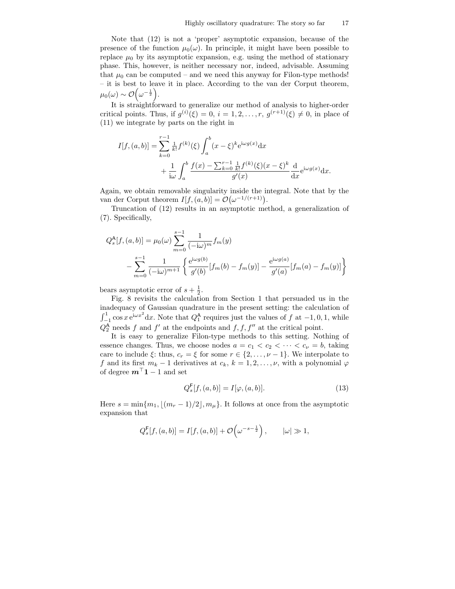Note that (12) is not a 'proper' asymptotic expansion, because of the presence of the function  $\mu_0(\omega)$ . In principle, it might have been possible to replace  $\mu_0$  by its asymptotic expansion, e.g. using the method of stationary phase. This, however, is neither necessary nor, indeed, advisable. Assuming that  $\mu_0$  can be computed – and we need this anyway for Filon-type methods! – it is best to leave it in place. According to the van der Corput theorem,  $\mu_0(\omega) \sim \mathcal{O}\!\left(\omega^{-\frac{1}{2}}\right)$  .

It is straightforward to generalize our method of analysis to higher-order critical points. Thus, if  $g^{(i)}(\xi) = 0$ ,  $i = 1, 2, ..., r$ ,  $g^{(r+1)}(\xi) \neq 0$ , in place of (11) we integrate by parts on the right in

$$
I[f, (a, b)] = \sum_{k=0}^{r-1} \frac{1}{k!} f^{(k)}(\xi) \int_a^b (x - \xi)^k e^{i\omega g(x)} dx + \frac{1}{i\omega} \int_a^b \frac{f(x) - \sum_{k=0}^{r-1} \frac{1}{k!} f^{(k)}(\xi) (x - \xi)^k}{g'(x)} \frac{d}{dx} e^{i\omega g(x)} dx.
$$

Again, we obtain removable singularity inside the integral. Note that by the van der Corput theorem  $I[f,(a,b)] = \mathcal{O}(\omega^{-1/(r+1)})$ .

Truncation of (12) results in an asymptotic method, a generalization of (7). Specifically,

$$
Q_s^{\mathsf{A}}[f,(a,b)] = \mu_0(\omega) \sum_{m=0}^{s-1} \frac{1}{(-i\omega)^m} f_m(y)
$$

$$
- \sum_{m=0}^{s-1} \frac{1}{(-i\omega)^{m+1}} \left\{ \frac{e^{i\omega g(b)}}{g'(b)} [f_m(b) - f_m(y)] - \frac{e^{i\omega g(a)}}{g'(a)} [f_m(a) - f_m(y)] \right\}
$$

bears asymptotic error of  $s + \frac{1}{2}$ .

Fig. 8 revisits the calculation from Section 1 that persuaded us in the inadequacy of Gaussian quadrature in the present setting: the calculation of  $\int_{-1}^{1} \cos x \, e^{i\omega x^2} dx$ . Note that  $Q_1^{\mathbf{A}}$  requires just the values of f at  $-1, 0, 1$ , while  $Q_2^{\mathbf{A}}$  needs f and f' at the endpoints and f, f, f'' at the critical point.

It is easy to generalize Filon-type methods to this setting. Nothing of essence changes. Thus, we choose nodes  $a = c_1 < c_2 < \cdots < c_{\nu} = b$ , taking care to include  $\xi$ : thus,  $c_r = \xi$  for some  $r \in \{2, \ldots, \nu - 1\}$ . We interpolate to f and its first  $m_k - 1$  derivatives at  $c_k$ ,  $k = 1, 2, \ldots, \nu$ , with a polynomial  $\varphi$ of degree  $m^{\top}$ **1** − 1 and set

$$
Q_s^{\mathsf{F}}[f,(a,b)] = I[\varphi,(a,b)].
$$
\n(13)

Here  $s = \min\{m_1, \lfloor (m_r - 1)/2 \rfloor, m_\mu\}$ . It follows at once from the asymptotic expansion that

$$
Q_s^{\mathsf{F}}[f,(a,b)] = I[f,(a,b)] + \mathcal{O}\left(\omega^{-s-\frac{1}{2}}\right), \qquad |\omega| \gg 1,
$$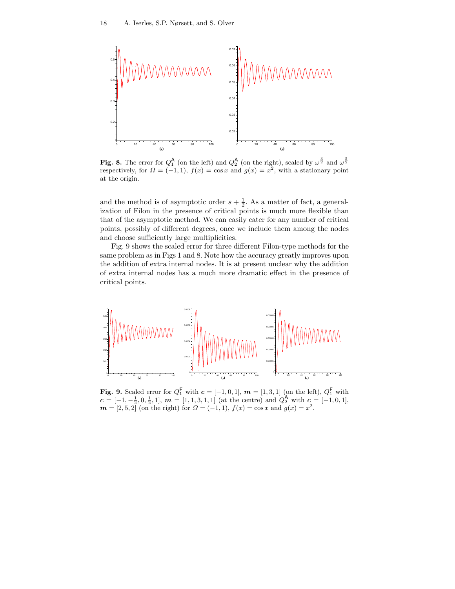

Fig. 8. The error for  $Q_1^{\mathsf{A}}$  (on the left) and  $Q_2^{\mathsf{A}}$  (on the right), scaled by  $\omega^{\frac{3}{2}}$  and  $\omega^{\frac{5}{2}}$ respectively, for  $\Omega = (-1,1)$ ,  $f(x) = \cos x$  and  $g(x) = x^2$ , with a stationary point at the origin.

and the method is of asymptotic order  $s + \frac{1}{2}$ . As a matter of fact, a generalization of Filon in the presence of critical points is much more flexible than that of the asymptotic method. We can easily cater for any number of critical points, possibly of different degrees, once we include them among the nodes and choose sufficiently large multiplicities.

Fig. 9 shows the scaled error for three different Filon-type methods for the same problem as in Figs 1 and 8. Note how the accuracy greatly improves upon the addition of extra internal nodes. It is at present unclear why the addition of extra internal nodes has a much more dramatic effect in the presence of critical points.



Fig. 9. Scaled error for  $Q_1^{\mathsf{F}}$  with  $\mathbf{c} = [-1,0,1]$ ,  $\mathbf{m} = [1,3,1]$  (on the left),  $Q_1^{\mathsf{F}}$  with  $c = [-1, -\frac{1}{2}, 0, \frac{1}{2}, 1],$   $m = [1, 1, 3, 1, 1]$  (at the centre) and  $Q_2^{\mathbf{A}}$  with  $c = [-1, 0, 1],$  $m = [2, 5, 2]$  (on the right) for  $\Omega = (-1, 1), f(x) = \cos x$  and  $g(x) = x^2$ .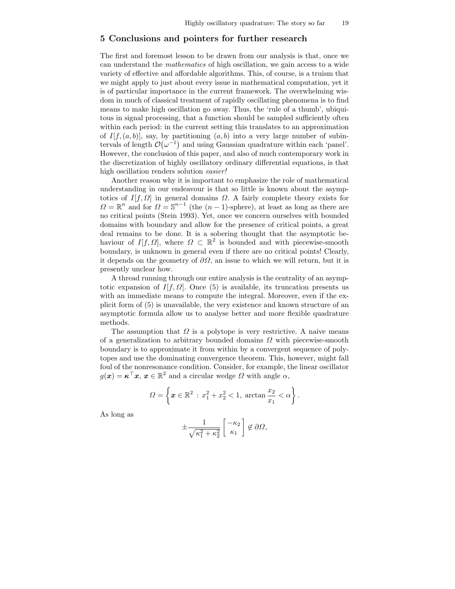### 5 Conclusions and pointers for further research

The first and foremost lesson to be drawn from our analysis is that, once we can understand the mathematics of high oscillation, we gain access to a wide variety of effective and affordable algorithms. This, of course, is a truism that we might apply to just about every issue in mathematical computation, yet it is of particular importance in the current framework. The overwhelming wisdom in much of classical treatment of rapidly oscillating phenomena is to find means to make high oscillation go away. Thus, the 'rule of a thumb', ubiquitous in signal processing, that a function should be sampled sufficiently often within each period: in the current setting this translates to an approximation of  $I[f,(a,b)]$ , say, by partitioning  $(a,b)$  into a very large number of subintervals of length  $\mathcal{O}(\omega^{-1})$  and using Gaussian quadrature within each 'panel'. However, the conclusion of this paper, and also of much contemporary work in the discretization of highly oscillatory ordinary differential equations, is that high oscillation renders solution easier!

Another reason why it is important to emphasize the role of mathematical understanding in our endeavour is that so little is known about the asymptotics of  $I[f, \Omega]$  in general domains  $\Omega$ . A fairly complete theory exists for  $\Omega = \mathbb{R}^n$  and for  $\Omega = \mathbb{S}^{n-1}$  (the  $(n-1)$ -sphere), at least as long as there are no critical points (Stein 1993). Yet, once we concern ourselves with bounded domains with boundary and allow for the presence of critical points, a great deal remains to be done. It is a sobering thought that the asymptotic behaviour of  $I[f, \Omega]$ , where  $\Omega \subset \mathbb{R}^2$  is bounded and with piecewise-smooth boundary, is unknown in general even if there are no critical points! Clearly, it depends on the geometry of  $\partial\Omega$ , an issue to which we will return, but it is presently unclear how.

A thread running through our entire analysis is the centrality of an asymptotic expansion of  $I[f, \Omega]$ . Once (5) is available, its truncation presents us with an immediate means to compute the integral. Moreover, even if the explicit form of (5) is unavailable, the very existence and known structure of an asymptotic formula allow us to analyse better and more flexible quadrature methods.

The assumption that  $\Omega$  is a polytope is very restrictive. A naive means of a generalization to arbitrary bounded domains  $\Omega$  with piecewise-smooth boundary is to approximate it from within by a convergent sequence of polytopes and use the dominating convergence theorem. This, however, might fall foul of the nonresonance condition. Consider, for example, the linear oscillator  $g(\boldsymbol{x}) = \boldsymbol{\kappa}^\top \boldsymbol{x}, \, \boldsymbol{x} \in \mathbb{R}^2$  and a circular wedge  $\Omega$  with angle  $\alpha$ ,

$$
\Omega = \left\{ \boldsymbol{x} \in \mathbb{R}^2 \, : \, x_1^2 + x_2^2 < 1, \, \arctan \frac{x_2}{x_1} < \alpha \right\}.
$$

As long as

$$
\pm \frac{1}{\sqrt{\kappa_1^2 + \kappa_2^2}} \begin{bmatrix} -\kappa_2 \\ \kappa_1 \end{bmatrix} \notin \partial \Omega,
$$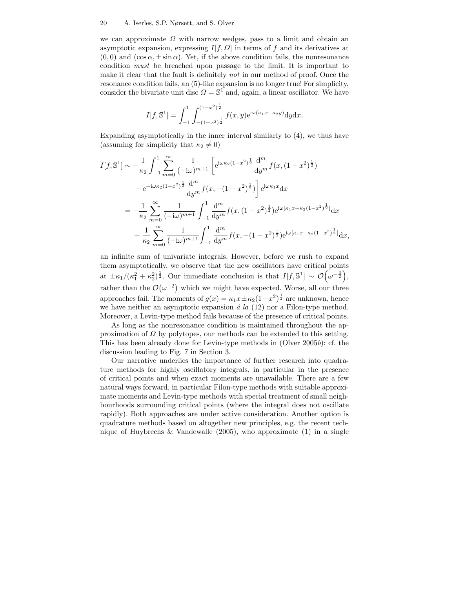we can approximate  $\Omega$  with narrow wedges, pass to a limit and obtain an asymptotic expansion, expressing  $I[f, \Omega]$  in terms of f and its derivatives at  $(0, 0)$  and  $(\cos \alpha, \pm \sin \alpha)$ . Yet, if the above condition fails, the nonresonance condition must be breached upon passage to the limit. It is important to make it clear that the fault is definitely *not* in our method of proof. Once the resonance condition fails, an (5)-like expansion is no longer true! For simplicity, consider the bivariate unit disc  $\Omega = \mathbb{S}^1$  and, again, a linear oscillator. We have

$$
I[f, \mathbb{S}^1] = \int_{-1}^1 \int_{-(1-x^2)^{\frac{1}{2}}}^{(1-x^2)^{\frac{1}{2}}} f(x, y) e^{i\omega(\kappa_1 x + \kappa_2 y)} dy dx.
$$

Expanding asymptotically in the inner interval similarly to (4), we thus have (assuming for simplicity that  $\kappa_2 \neq 0$ )

$$
I[f, \mathbb{S}^1] \sim -\frac{1}{\kappa_2} \int_{-1}^1 \sum_{m=0}^{\infty} \frac{1}{(-i\omega)^{m+1}} \left[ e^{i\omega\kappa_2(1-x^2)^{\frac{1}{2}}} \frac{d^m}{dy^m} f(x, (1-x^2)^{\frac{1}{2}}) - e^{-i\omega\kappa_2(1-x^2)^{\frac{1}{2}}} \frac{d^m}{dy^m} f(x, -(1-x^2)^{\frac{1}{2}}) \right] e^{i\omega\kappa_1 x} dx
$$
  

$$
= -\frac{1}{\kappa_2} \sum_{m=0}^{\infty} \frac{1}{(-i\omega)^{m+1}} \int_{-1}^1 \frac{d^m}{dy^m} f(x, (1-x^2)^{\frac{1}{2}}) e^{i\omega[\kappa_1 x + \kappa_2(1-x^2)^{\frac{1}{2}}]} dx
$$

$$
+ \frac{1}{\kappa_2} \sum_{m=0}^{\infty} \frac{1}{(-i\omega)^{m+1}} \int_{-1}^1 \frac{d^m}{dy^m} f(x, -(1-x^2)^{\frac{1}{2}}) e^{i\omega[\kappa_1 x - \kappa_2(1-x^2)^{\frac{1}{2}}]} dx,
$$

an infinite sum of univariate integrals. However, before we rush to expand them asymptotically, we observe that the new oscillators have critical points at  $\pm \kappa_1/(\kappa_1^2 + \kappa_2^2)^{\frac{1}{2}}$ . Our immediate conclusion is that  $I[f, \mathbb{S}^1] \sim \mathcal{O}(\omega^{-\frac{3}{2}})$ , rather than the  $\mathcal{O}(\omega^{-2})$  which we might have expected. Worse, all our three approaches fail. The moments of  $g(x) = \kappa_1 x \pm \kappa_2 (1 - x^2)^{\frac{1}{2}}$  are unknown, hence we have neither an asymptotic expansion  $\acute{a}$  la (12) nor a Filon-type method. Moreover, a Levin-type method fails because of the presence of critical points.

As long as the nonresonance condition is maintained throughout the approximation of  $\Omega$  by polytopes, our methods can be extended to this setting. This has been already done for Levin-type methods in (Olver 2005b): cf. the discussion leading to Fig. 7 in Section 3.

Our narrative underlies the importance of further research into quadrature methods for highly oscillatory integrals, in particular in the presence of critical points and when exact moments are unavailable. There are a few natural ways forward, in particular Filon-type methods with suitable approximate moments and Levin-type methods with special treatment of small neighbourhoods surrounding critical points (where the integral does not oscillate rapidly). Both approaches are under active consideration. Another option is quadrature methods based on altogether new principles, e.g. the recent technique of Huybrechs & Vandewalle  $(2005)$ , who approximate  $(1)$  in a single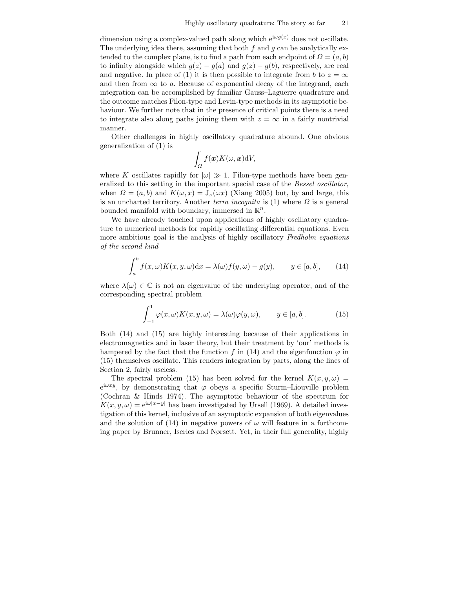dimension using a complex-valued path along which  $e^{i\omega g(x)}$  does not oscillate. The underlying idea there, assuming that both  $f$  and  $g$  can be analytically extended to the complex plane, is to find a path from each endpoint of  $\Omega = (a, b)$ to infinity alongside which  $g(z) - g(a)$  and  $g(z) - g(b)$ , respectively, are real and negative. In place of (1) it is then possible to integrate from b to  $z = \infty$ and then from  $\infty$  to a. Because of exponential decay of the integrand, each integration can be accomplished by familiar Gauss–Laguerre quadrature and the outcome matches Filon-type and Levin-type methods in its asymptotic behaviour. We further note that in the presence of critical points there is a need to integrate also along paths joining them with  $z = \infty$  in a fairly nontrivial manner.

Other challenges in highly oscillatory quadrature abound. One obvious generalization of (1) is

$$
\int_{\Omega} f(\boldsymbol{x}) K(\omega, \boldsymbol{x}) \mathrm{d}V,
$$

where K oscillates rapidly for  $|\omega| \gg 1$ . Filon-type methods have been generalized to this setting in the important special case of the Bessel oscillator, when  $\Omega = (a, b)$  and  $K(\omega, x) = J_{\nu}(\omega x)$  (Xiang 2005) but, by and large, this is an uncharted territory. Another terra incognita is (1) where  $\Omega$  is a general bounded manifold with boundary, immersed in  $\mathbb{R}^n$ .

We have already touched upon applications of highly oscillatory quadrature to numerical methods for rapidly oscillating differential equations. Even more ambitious goal is the analysis of highly oscillatory Fredholm equations of the second kind

$$
\int_{a}^{b} f(x,\omega)K(x,y,\omega)dx = \lambda(\omega)f(y,\omega) - g(y), \qquad y \in [a,b], \qquad (14)
$$

where  $\lambda(\omega) \in \mathbb{C}$  is not an eigenvalue of the underlying operator, and of the corresponding spectral problem

$$
\int_{-1}^{1} \varphi(x,\omega) K(x,y,\omega) = \lambda(\omega) \varphi(y,\omega), \qquad y \in [a,b].
$$
 (15)

Both (14) and (15) are highly interesting because of their applications in electromagnetics and in laser theory, but their treatment by 'our' methods is hampered by the fact that the function f in (14) and the eigenfunction  $\varphi$  in (15) themselves oscillate. This renders integration by parts, along the lines of Section 2, fairly useless.

The spectral problem (15) has been solved for the kernel  $K(x,y,\omega)$  =  $e^{i\omega xy}$ , by demonstrating that  $\varphi$  obeys a specific Sturm–Liouville problem (Cochran & Hinds 1974). The asymptotic behaviour of the spectrum for  $K(x,y,\omega) = e^{i\omega|x-y|}$  has been investigated by Ursell (1969). A detailed investigation of this kernel, inclusive of an asymptotic expansion of both eigenvalues and the solution of (14) in negative powers of  $\omega$  will feature in a forthcoming paper by Brunner, Iserles and Nørsett. Yet, in their full generality, highly